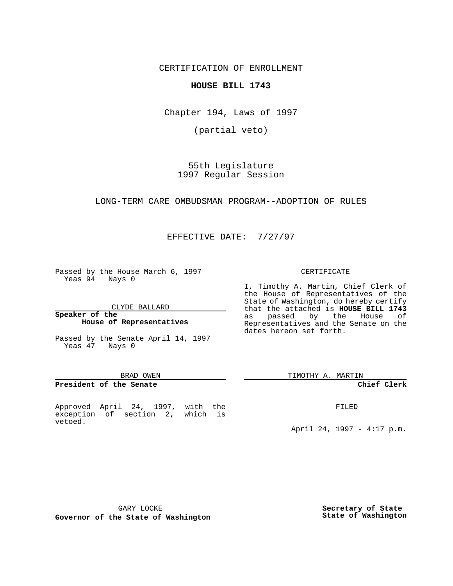CERTIFICATION OF ENROLLMENT

**HOUSE BILL 1743**

Chapter 194, Laws of 1997

(partial veto)

55th Legislature 1997 Regular Session

LONG-TERM CARE OMBUDSMAN PROGRAM--ADOPTION OF RULES

EFFECTIVE DATE: 7/27/97

Passed by the House March 6, 1997 Yeas 94 Nays 0

CLYDE BALLARD

**Speaker of the House of Representatives**

Passed by the Senate April 14, 1997 Yeas 47 Nays 0

#### BRAD OWEN

# **President of the Senate**

Approved April 24, 1997, with the exception of section 2, which is vetoed.

### CERTIFICATE

I, Timothy A. Martin, Chief Clerk of the House of Representatives of the State of Washington, do hereby certify that the attached is **HOUSE BILL 1743** as passed by the House of Representatives and the Senate on the dates hereon set forth.

TIMOTHY A. MARTIN

# **Chief Clerk**

FILED

April 24, 1997 - 4:17 p.m.

GARY LOCKE

**Governor of the State of Washington**

**Secretary of State State of Washington**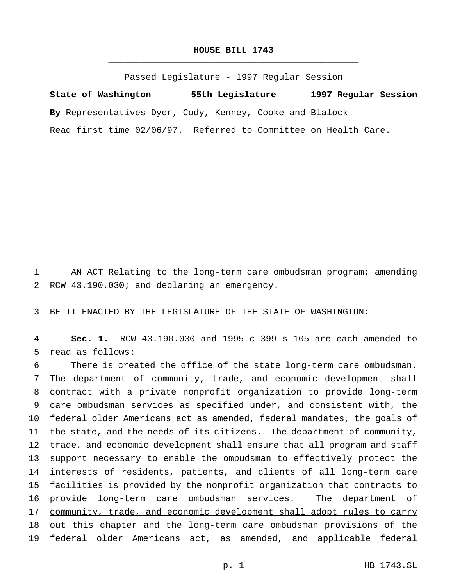# **HOUSE BILL 1743** \_\_\_\_\_\_\_\_\_\_\_\_\_\_\_\_\_\_\_\_\_\_\_\_\_\_\_\_\_\_\_\_\_\_\_\_\_\_\_\_\_\_\_\_\_\_\_

\_\_\_\_\_\_\_\_\_\_\_\_\_\_\_\_\_\_\_\_\_\_\_\_\_\_\_\_\_\_\_\_\_\_\_\_\_\_\_\_\_\_\_\_\_\_\_

Passed Legislature - 1997 Regular Session

**State of Washington 55th Legislature 1997 Regular Session By** Representatives Dyer, Cody, Kenney, Cooke and Blalock Read first time 02/06/97. Referred to Committee on Health Care.

 AN ACT Relating to the long-term care ombudsman program; amending RCW 43.190.030; and declaring an emergency.

BE IT ENACTED BY THE LEGISLATURE OF THE STATE OF WASHINGTON:

 **Sec. 1.** RCW 43.190.030 and 1995 c 399 s 105 are each amended to read as follows:

 There is created the office of the state long-term care ombudsman. The department of community, trade, and economic development shall contract with a private nonprofit organization to provide long-term care ombudsman services as specified under, and consistent with, the federal older Americans act as amended, federal mandates, the goals of the state, and the needs of its citizens. The department of community, trade, and economic development shall ensure that all program and staff support necessary to enable the ombudsman to effectively protect the interests of residents, patients, and clients of all long-term care facilities is provided by the nonprofit organization that contracts to 16 provide long-term care ombudsman services. The department of 17 community, trade, and economic development shall adopt rules to carry out this chapter and the long-term care ombudsman provisions of the federal older Americans act, as amended, and applicable federal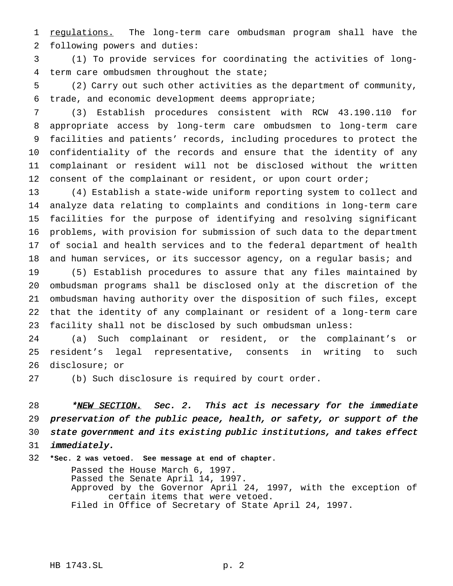1 regulations. The long-term care ombudsman program shall have the following powers and duties:

 (1) To provide services for coordinating the activities of long-term care ombudsmen throughout the state;

 (2) Carry out such other activities as the department of community, trade, and economic development deems appropriate;

 (3) Establish procedures consistent with RCW 43.190.110 for appropriate access by long-term care ombudsmen to long-term care facilities and patients' records, including procedures to protect the confidentiality of the records and ensure that the identity of any complainant or resident will not be disclosed without the written 12 consent of the complainant or resident, or upon court order;

 (4) Establish a state-wide uniform reporting system to collect and analyze data relating to complaints and conditions in long-term care facilities for the purpose of identifying and resolving significant problems, with provision for submission of such data to the department of social and health services and to the federal department of health and human services, or its successor agency, on a regular basis; and

 (5) Establish procedures to assure that any files maintained by ombudsman programs shall be disclosed only at the discretion of the ombudsman having authority over the disposition of such files, except that the identity of any complainant or resident of a long-term care facility shall not be disclosed by such ombudsman unless:

 (a) Such complainant or resident, or the complainant's or resident's legal representative, consents in writing to such disclosure; or

(b) Such disclosure is required by court order.

28 \*NEW SECTION. Sec. 2. This act is necessary for the immediate preservation of the public peace, health, or safety, or support of the state government and its existing public institutions, and takes effect immediately.

**\*Sec. 2 was vetoed. See message at end of chapter.**

Passed the House March 6, 1997. Passed the Senate April 14, 1997. Approved by the Governor April 24, 1997, with the exception of certain items that were vetoed. Filed in Office of Secretary of State April 24, 1997.